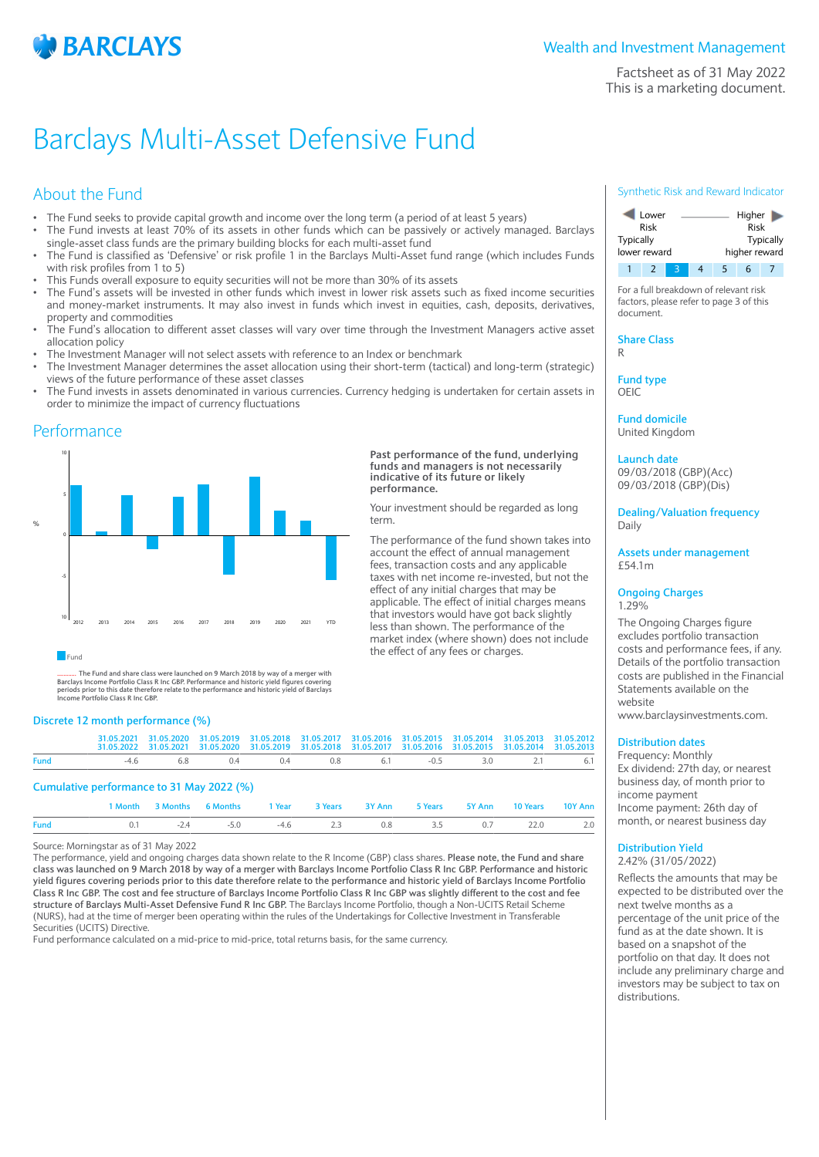

Factsheet as of 31 May 2022 This is a marketing document.

# Barclays Multi-Asset Defensive Fund

## About the Fund

- The Fund seeks to provide capital growth and income over the long term (a period of at least 5 years)
- The Fund invests at least 70% of its assets in other funds which can be passively or actively managed. Barclays single-asset class funds are the primary building blocks for each multi-asset fund
- The Fund is classified as 'Defensive' or risk profile 1 in the Barclays Multi-Asset fund range (which includes Funds with risk profiles from 1 to 5)
- This Funds overall exposure to equity securities will not be more than 30% of its assets
- The Fund's assets will be invested in other funds which invest in lower risk assets such as fixed income securities and money-market instruments. It may also invest in funds which invest in equities, cash, deposits, derivatives, property and commodities
- The Fund's allocation to different asset classes will vary over time through the Investment Managers active asset allocation policy
- The Investment Manager will not select assets with reference to an Index or benchmark
- The Investment Manager determines the asset allocation using their short-term (tactical) and long-term (strategic) views of the future performance of these asset classes
- The Fund invests in assets denominated in various currencies. Currency hedging is undertaken for certain assets in order to minimize the impact of currency fluctuations

**Past performance of the fund, underlying funds and managers is not necessarily indicative of its future or likely**

Your investment should be regarded as long

the effect of any fees or charges.

The performance of the fund shown takes into account the effect of annual management fees, transaction costs and any applicable taxes with net income re-invested, but not the effect of any initial charges that may be applicable. The effect of initial charges means that investors would have got back slightly less than shown. The performance of the market index (where shown) does not include

**performance.**

term.

## Performance



## **Fund**

............ **The Fund and share class were launched on 9 March 2018 by way of a merger with** Barclays Income Portfolio Class R Inc GBP. Performance and historic yield figures covering<br>periods prior to this date therefore relate to the performance and historic yield of Barclays<br>Income Portfolio Class R Inc GBP.

#### **Discrete 12 month performance (%)**

|             | 31.05.2021 31.05.2020 31.05.2019 31.05.2018 31.05.2017 31.05.2016 31.05.2015 31.05.2014 31.05.2013 31.05.2012<br>31.05.2022 31.05.2021 31.05.2020 31.05.2019 31.05.2018 31.05.2017 31.05.2016 31.05.2015 31.05.2014 31.05.2013 |  |  |  |  |
|-------------|--------------------------------------------------------------------------------------------------------------------------------------------------------------------------------------------------------------------------------|--|--|--|--|
| <b>Fund</b> | -46 68 04 04 08 61 -05 30 21 61                                                                                                                                                                                                |  |  |  |  |

#### **Cumulative performance to 31 May 2022 (%)**

|             |                                                   | 1 Month 3 Months 6 Months 1 Year 3 Years 3 Y Ann 5 Years 5 Y Ann 10 Years 10 Y Ann |  |  |  |  |
|-------------|---------------------------------------------------|------------------------------------------------------------------------------------|--|--|--|--|
| <b>Fund</b> | 0.1 $-2.4$ $-5.0$ $-4.6$ 2.3 0.8 3.5 0.7 22.0 2.0 |                                                                                    |  |  |  |  |

#### Source: Morningstar as of 31 May 2022

The performance, yield and ongoing charges data shown relate to the R Income (GBP) class shares. **Please note, the Fund and share class was launched on 9 March 2018 by way of a merger with Barclays Income Portfolio Class R Inc GBP. Performance and historic yield figures covering periods prior to this date therefore relate to the performance and historic yield of Barclays Income Portfolio Class R Inc GBP. The cost and fee structure of Barclays Income Portfolio Class R Inc GBP was slightly different to the cost and fee structure of Barclays Multi-Asset Defensive Fund R Inc GBP.** The Barclays Income Portfolio, though a Non-UCITS Retail Scheme (NURS), had at the time of merger been operating within the rules of the Undertakings for Collective Investment in Transferable Securities (UCITS) Directive.

Fund performance calculated on a mid-price to mid-price, total returns basis, for the same currency.

### Synthetic Risk and Reward Indicator



For a full breakdown of relevant risk factors, please refer to page 3 of this document.

**Share Class** R

**Fund type**

OEIC

**Fund domicile** United Kingdom

**Launch date** 09/03/2018 (GBP)(Acc) 09/03/2018 (GBP)(Dis)

**Dealing/Valuation frequency** Daily

**Assets under management** £54.1m

#### **Ongoing Charges** 1.29%

The Ongoing Charges figure excludes portfolio transaction costs and performance fees, if any. Details of the portfolio transaction costs are published in the Financial Statements available on the website

www.barclaysinvestments.com.

## **Distribution dates**

Frequency: Monthly Ex dividend: 27th day, or nearest business day, of month prior to income payment Income payment: 26th day of month, or nearest business day

### **Distribution Yield** 2.42% (31/05/2022)

Reflects the amounts that may be expected to be distributed over the next twelve months as a percentage of the unit price of the fund as at the date shown. It is based on a snapshot of the portfolio on that day. It does not include any preliminary charge and investors may be subject to tax on distributions.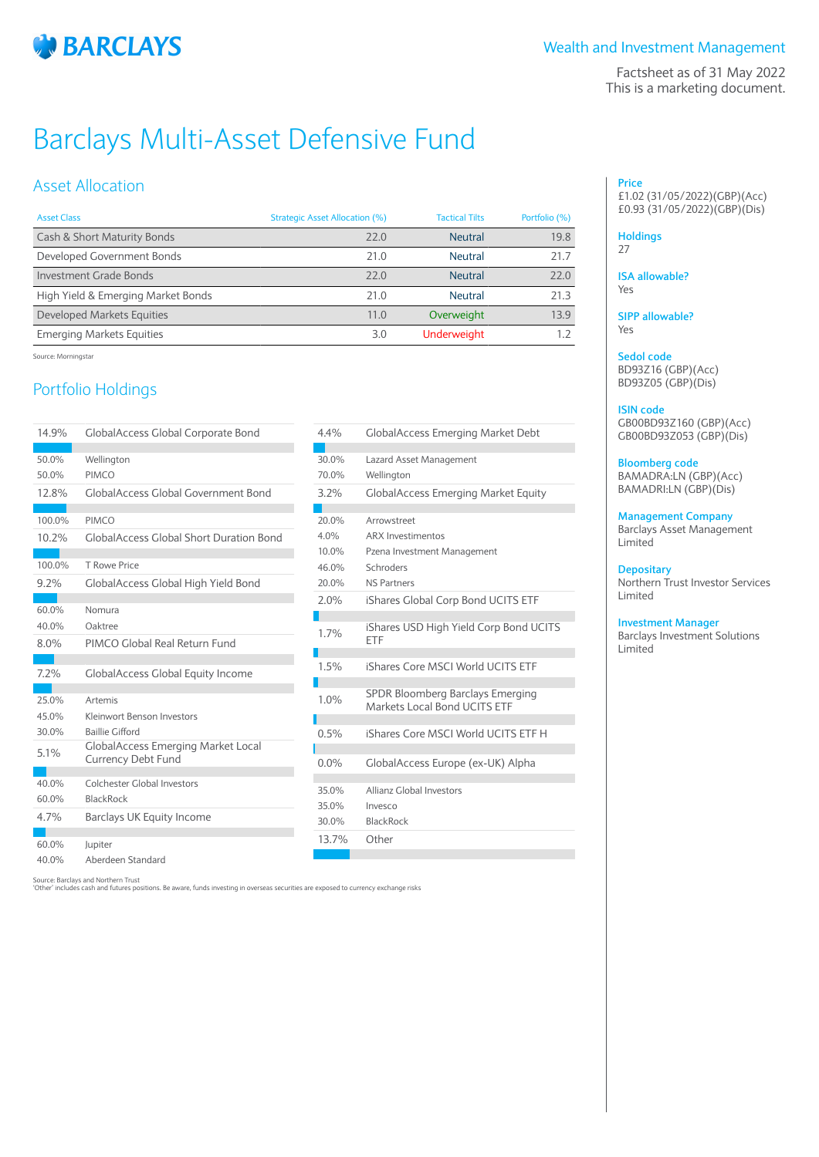

Factsheet as of 31 May 2022 This is a marketing document.

# Barclays Multi-Asset Defensive Fund

## Asset Allocation

| <b>Asset Class</b>                 | Strategic Asset Allocation (%) | <b>Tactical Tilts</b> | Portfolio (%) |
|------------------------------------|--------------------------------|-----------------------|---------------|
| Cash & Short Maturity Bonds        | 77.0                           | <b>Neutral</b>        | 19.8          |
| Developed Government Bonds         | 71.0                           | Neutral               | 21.7          |
| Investment Grade Bonds             | 77.0                           | <b>Neutral</b>        | 22.0          |
| High Yield & Emerging Market Bonds | 71.0                           | Neutral               | 71.3          |
| Developed Markets Equities         | 11.0                           | Overweight            | 13.9          |
| <b>Emerging Markets Equities</b>   | 3.0                            | <b>Underweight</b>    |               |

Source: Morningstar

# Portfolio Holdings

| 14.9%  | <b>GlobalAccess Global Corporate Bond</b>                              |  |
|--------|------------------------------------------------------------------------|--|
|        |                                                                        |  |
| 50.0%  | Wellington                                                             |  |
| 50.0%  | <b>PIMCO</b>                                                           |  |
| 12.8%  | <b>GlobalAccess Global Government Bond</b>                             |  |
| 100.0% | <b>PIMCO</b>                                                           |  |
|        |                                                                        |  |
| 10.2%  | <b>GlobalAccess Global Short Duration Bond</b>                         |  |
| 100.0% | T Rowe Price                                                           |  |
| 9.2%   | GlobalAccess Global High Yield Bond                                    |  |
|        |                                                                        |  |
| 60.0%  | Nomura                                                                 |  |
| 40.0%  | Oaktree                                                                |  |
| 8.0%   | PIMCO Global Real Return Fund                                          |  |
|        |                                                                        |  |
| 7.2%   | <b>GlobalAccess Global Equity Income</b>                               |  |
|        |                                                                        |  |
| 25.0%  | Artemis                                                                |  |
| 45.0%  | Kleinwort Benson Investors                                             |  |
| 30.0%  | <b>Baillie Gifford</b>                                                 |  |
| 5.1%   | <b>GlobalAccess Emerging Market Local</b><br><b>Currency Debt Fund</b> |  |
|        |                                                                        |  |
| 40.0%  | Colchester Global Investors                                            |  |
| 60.0%  | <b>BlackRock</b>                                                       |  |
| 4.7%   | Barclays UK Equity Income                                              |  |
|        |                                                                        |  |
| 60.0%  | Jupiter                                                                |  |
| 40.0%  | Aberdeen Standard                                                      |  |

| 4.4%    | <b>GlobalAccess Emerging Market Debt</b>                         |
|---------|------------------------------------------------------------------|
| 30.0%   | Lazard Asset Management                                          |
| 70.0%   | Wellington                                                       |
| 3.2%    | <b>GlobalAccess Emerging Market Equity</b>                       |
|         |                                                                  |
| 20.0%   | Arrowstreet                                                      |
| 4.0%    | <b>ARX Investimentos</b>                                         |
| 10.0%   | Pzena Investment Management                                      |
| 46.0%   | Schroders                                                        |
| 20.0%   | NS Partners                                                      |
| 2.0%    | iShares Global Corp Bond UCITS ETF                               |
|         |                                                                  |
| 1.7%    | iShares USD High Yield Corp Bond UCITS<br>FTF                    |
|         |                                                                  |
| 1.5%    | iShares Core MSCI World UCITS FTF                                |
| 1.0%    | SPDR Bloomberg Barclays Emerging<br>Markets Local Bond UCITS ETF |
|         |                                                                  |
| 0.5%    | iShares Core MSCI World UCITS FTF H                              |
| $0.0\%$ | GlobalAccess Europe (ex-UK) Alpha                                |
|         |                                                                  |
| 35.0%   | Allianz Global Investors                                         |
| 35.0%   | Invesco                                                          |
| 30.0%   | <b>BlackRock</b>                                                 |
| 13.7%   | Other                                                            |
|         |                                                                  |

**Price** £1.02 (31/05/2022)(GBP)(Acc) £0.93 (31/05/2022)(GBP)(Dis)

## **Holdings**

27

**ISA allowable?** Yes

**SIPP allowable?** Yes

**Sedol code** BD93Z16 (GBP)(Acc) BD93Z05 (GBP)(Dis)

## **ISIN code**

GB00BD93Z160 (GBP)(Acc) GB00BD93Z053 (GBP)(Dis)

## **Bloomberg code**

BAMADRA:LN (GBP)(Acc) BAMADRI:LN (GBP)(Dis)

## **Management Company**

Barclays Asset Management Limited

### **Depositary**

Northern Trust Investor Services Limited

## **Investment Manager**

Barclays Investment Solutions Limited

Source: Barclays and Northern Trust

'Other' includes cash and futures positions. Be aware, funds investing in overseas securities are exposed to currency exchange risks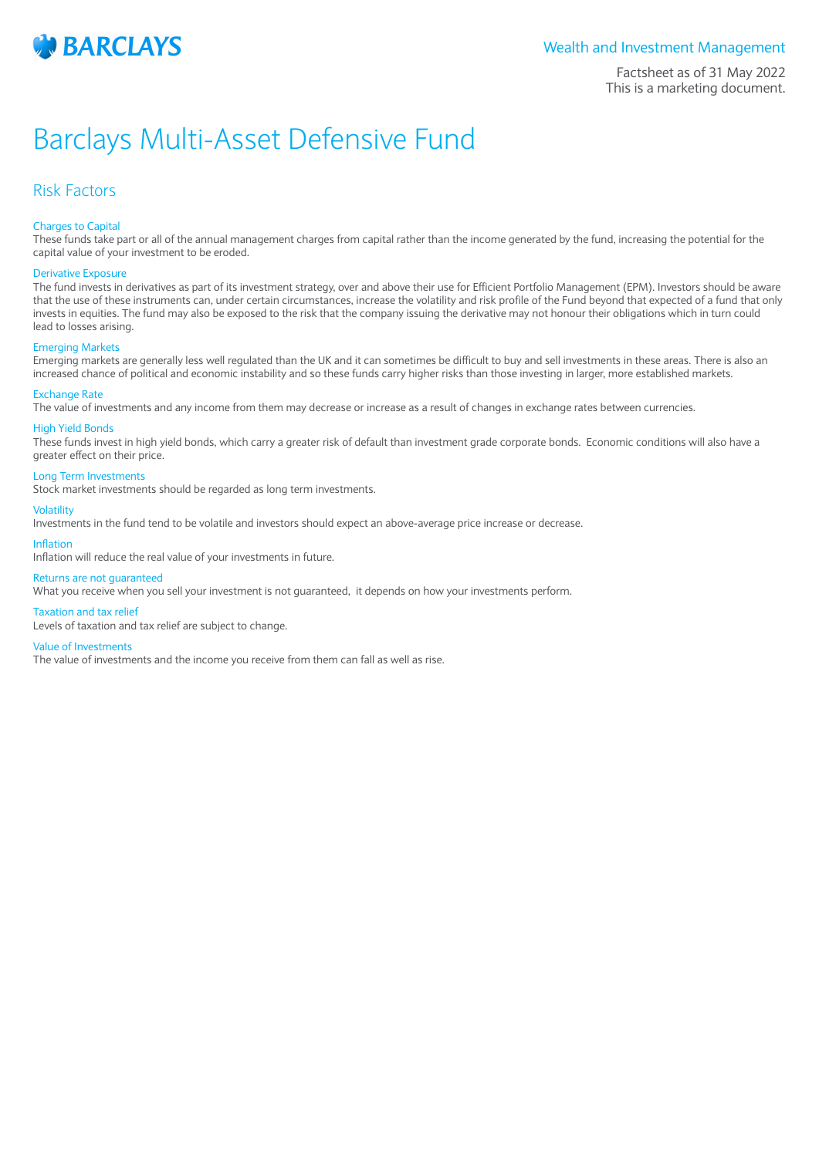

Factsheet as of 31 May 2022 This is a marketing document.

# Barclays Multi-Asset Defensive Fund

## Risk Factors

## Charges to Capital

These funds take part or all of the annual management charges from capital rather than the income generated by the fund, increasing the potential for the capital value of your investment to be eroded.

#### Derivative Exposure

The fund invests in derivatives as part of its investment strategy, over and above their use for Efficient Portfolio Management (EPM). Investors should be aware that the use of these instruments can, under certain circumstances, increase the volatility and risk profile of the Fund beyond that expected of a fund that only invests in equities. The fund may also be exposed to the risk that the company issuing the derivative may not honour their obligations which in turn could lead to losses arising.

#### Emerging Markets

Emerging markets are generally less well regulated than the UK and it can sometimes be difficult to buy and sell investments in these areas. There is also an increased chance of political and economic instability and so these funds carry higher risks than those investing in larger, more established markets.

#### Exchange Rate

The value of investments and any income from them may decrease or increase as a result of changes in exchange rates between currencies.

#### High Yield Bonds

These funds invest in high yield bonds, which carry a greater risk of default than investment grade corporate bonds. Economic conditions will also have a greater effect on their price.

## Long Term Investments

Stock market investments should be regarded as long term investments.

#### Volatility

Investments in the fund tend to be volatile and investors should expect an above-average price increase or decrease.

#### Inflation

Inflation will reduce the real value of your investments in future.

### Returns are not guaranteed

What you receive when you sell your investment is not guaranteed, it depends on how your investments perform.

#### Taxation and tax relief

Levels of taxation and tax relief are subject to change.

#### Value of Investments

The value of investments and the income you receive from them can fall as well as rise.